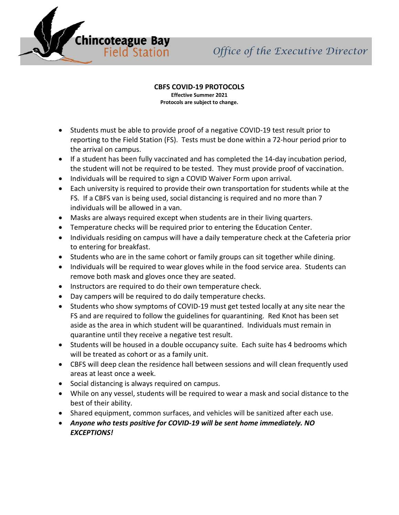

## **CBFS COVID-19 PROTOCOLS**

**Effective Summer 2021 Protocols are subject to change.**

- Students must be able to provide proof of a negative COVID-19 test result prior to reporting to the Field Station (FS). Tests must be done within a 72-hour period prior to the arrival on campus.
- If a student has been fully vaccinated and has completed the 14-day incubation period, the student will not be required to be tested. They must provide proof of vaccination.
- Individuals will be required to sign a COVID Waiver Form upon arrival.
- Each university is required to provide their own transportation for students while at the FS. If a CBFS van is being used, social distancing is required and no more than 7 individuals will be allowed in a van.
- Masks are always required except when students are in their living quarters.
- Temperature checks will be required prior to entering the Education Center.
- Individuals residing on campus will have a daily temperature check at the Cafeteria prior to entering for breakfast.
- Students who are in the same cohort or family groups can sit together while dining.
- Individuals will be required to wear gloves while in the food service area. Students can remove both mask and gloves once they are seated.
- Instructors are required to do their own temperature check.
- Day campers will be required to do daily temperature checks.
- Students who show symptoms of COVID-19 must get tested locally at any site near the FS and are required to follow the guidelines for quarantining. Red Knot has been set aside as the area in which student will be quarantined. Individuals must remain in quarantine until they receive a negative test result.
- Students will be housed in a double occupancy suite. Each suite has 4 bedrooms which will be treated as cohort or as a family unit.
- CBFS will deep clean the residence hall between sessions and will clean frequently used areas at least once a week.
- Social distancing is always required on campus.
- While on any vessel, students will be required to wear a mask and social distance to the best of their ability.
- Shared equipment, common surfaces, and vehicles will be sanitized after each use.
- *Anyone who tests positive for COVID-19 will be sent home immediately. NO EXCEPTIONS!*